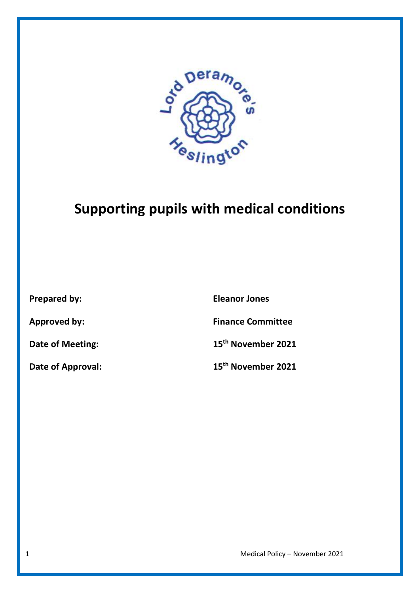

# **Supporting pupils with medical conditions**

**Prepared by: Eleanor Jones Approved by: Finance Committee Date of Meeting: 15th November 2021 Date of Approval: 15th November 2021**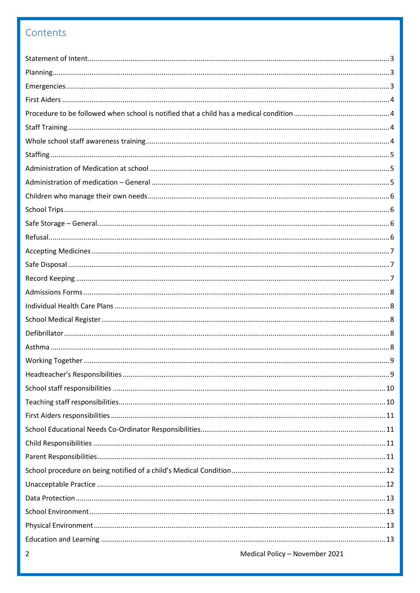# Contents

| 2 | Medical Policy - November 2021 |
|---|--------------------------------|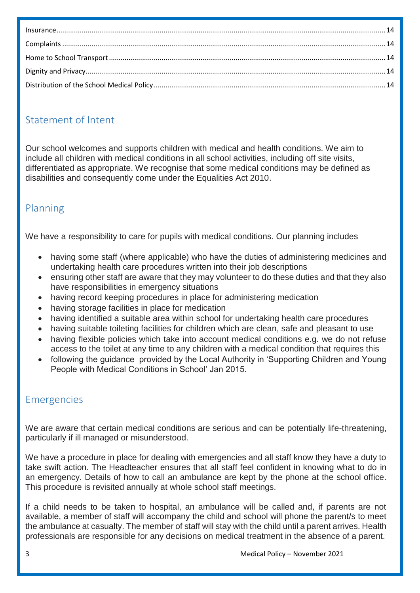| $Insurance. 14$ |  |
|-----------------|--|
|                 |  |
|                 |  |
|                 |  |
|                 |  |

## <span id="page-2-0"></span>Statement of Intent

Our school welcomes and supports children with medical and health conditions. We aim to include all children with medical conditions in all school activities, including off site visits, differentiated as appropriate. We recognise that some medical conditions may be defined as disabilities and consequently come under the Equalities Act 2010.

## <span id="page-2-1"></span>Planning

We have a responsibility to care for pupils with medical conditions. Our planning includes

- having some staff (where applicable) who have the duties of administering medicines and undertaking health care procedures written into their job descriptions
- ensuring other staff are aware that they may volunteer to do these duties and that they also have responsibilities in emergency situations
- having record keeping procedures in place for administering medication
- having storage facilities in place for medication
- having identified a suitable area within school for undertaking health care procedures
- having suitable toileting facilities for children which are clean, safe and pleasant to use
- having flexible policies which take into account medical conditions e.g. we do not refuse access to the toilet at any time to any children with a medical condition that requires this
- following the guidance provided by the Local Authority in 'Supporting Children and Young People with Medical Conditions in School' Jan 2015.

# <span id="page-2-2"></span>Emergencies

We are aware that certain medical conditions are serious and can be potentially life-threatening, particularly if ill managed or misunderstood.

We have a procedure in place for dealing with emergencies and all staff know they have a duty to take swift action. The Headteacher ensures that all staff feel confident in knowing what to do in an emergency. Details of how to call an ambulance are kept by the phone at the school office. This procedure is revisited annually at whole school staff meetings.

If a child needs to be taken to hospital, an ambulance will be called and, if parents are not available, a member of staff will accompany the child and school will phone the parent/s to meet the ambulance at casualty. The member of staff will stay with the child until a parent arrives. Health professionals are responsible for any decisions on medical treatment in the absence of a parent.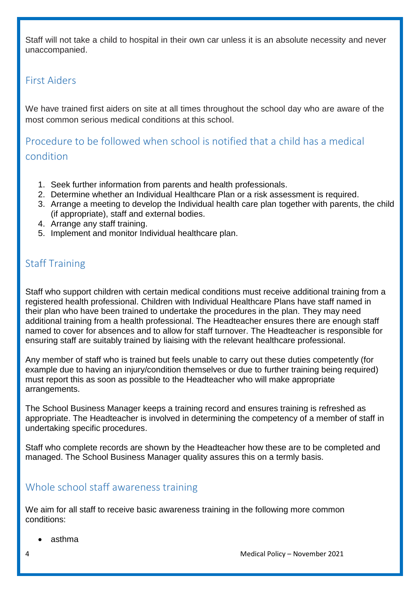Staff will not take a child to hospital in their own car unless it is an absolute necessity and never unaccompanied.

#### <span id="page-3-0"></span>First Aiders

We have trained first aiders on site at all times throughout the school day who are aware of the most common serious medical conditions at this school.

<span id="page-3-1"></span>Procedure to be followed when school is notified that a child has a medical condition

- 1. Seek further information from parents and health professionals.
- 2. Determine whether an Individual Healthcare Plan or a risk assessment is required.
- 3. Arrange a meeting to develop the Individual health care plan together with parents, the child (if appropriate), staff and external bodies.
- 4. Arrange any staff training.
- 5. Implement and monitor Individual healthcare plan.

## <span id="page-3-2"></span>Staff Training

Staff who support children with certain medical conditions must receive additional training from a registered health professional. Children with Individual Healthcare Plans have staff named in their plan who have been trained to undertake the procedures in the plan. They may need additional training from a health professional. The Headteacher ensures there are enough staff named to cover for absences and to allow for staff turnover. The Headteacher is responsible for ensuring staff are suitably trained by liaising with the relevant healthcare professional.

Any member of staff who is trained but feels unable to carry out these duties competently (for example due to having an injury/condition themselves or due to further training being required) must report this as soon as possible to the Headteacher who will make appropriate arrangements.

The School Business Manager keeps a training record and ensures training is refreshed as appropriate. The Headteacher is involved in determining the competency of a member of staff in undertaking specific procedures.

Staff who complete records are shown by the Headteacher how these are to be completed and managed. The School Business Manager quality assures this on a termly basis.

## <span id="page-3-3"></span>Whole school staff awareness training

We aim for all staff to receive basic awareness training in the following more common conditions:

asthma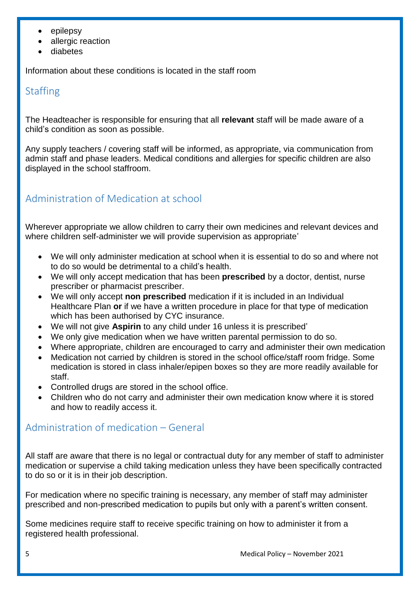- epilepsy
- allergic reaction
- diabetes

<span id="page-4-0"></span>Information about these conditions is located in the staff room

#### **Staffing**

The Headteacher is responsible for ensuring that all **relevant** staff will be made aware of a child's condition as soon as possible.

Any supply teachers / covering staff will be informed, as appropriate, via communication from admin staff and phase leaders. Medical conditions and allergies for specific children are also displayed in the school staffroom.

## <span id="page-4-1"></span>Administration of Medication at school

Wherever appropriate we allow children to carry their own medicines and relevant devices and where children self-administer we will provide supervision as appropriate'

- We will only administer medication at school when it is essential to do so and where not to do so would be detrimental to a child's health.
- We will only accept medication that has been **prescribed** by a doctor, dentist, nurse prescriber or pharmacist prescriber.
- We will only accept **non prescribed** medication if it is included in an Individual Healthcare Plan **or** if we have a written procedure in place for that type of medication which has been authorised by CYC insurance.
- We will not give **Aspirin** to any child under 16 unless it is prescribed'
- We only give medication when we have written parental permission to do so.
- Where appropriate, children are encouraged to carry and administer their own medication
- Medication not carried by children is stored in the school office/staff room fridge. Some medication is stored in class inhaler/epipen boxes so they are more readily available for staff.
- Controlled drugs are stored in the school office.
- Children who do not carry and administer their own medication know where it is stored and how to readily access it.

#### <span id="page-4-2"></span>Administration of medication – General

All staff are aware that there is no legal or contractual duty for any member of staff to administer medication or supervise a child taking medication unless they have been specifically contracted to do so or it is in their job description.

For medication where no specific training is necessary, any member of staff may administer prescribed and non-prescribed medication to pupils but only with a parent's written consent.

Some medicines require staff to receive specific training on how to administer it from a registered health professional.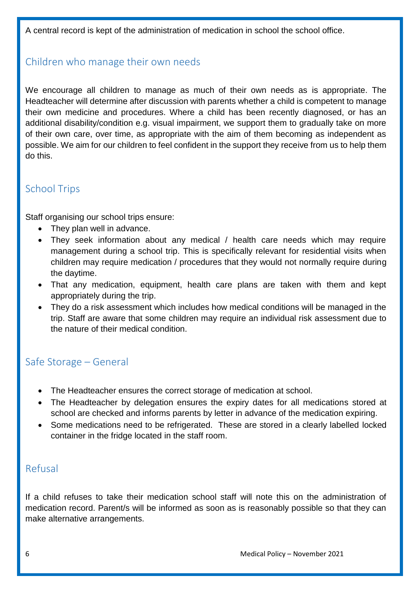A central record is kept of the administration of medication in school the school office.

## <span id="page-5-0"></span>Children who manage their own needs

We encourage all children to manage as much of their own needs as is appropriate. The Headteacher will determine after discussion with parents whether a child is competent to manage their own medicine and procedures. Where a child has been recently diagnosed, or has an additional disability/condition e.g. visual impairment, we support them to gradually take on more of their own care, over time, as appropriate with the aim of them becoming as independent as possible. We aim for our children to feel confident in the support they receive from us to help them do this.

## <span id="page-5-1"></span>School Trips

Staff organising our school trips ensure:

- They plan well in advance.
- They seek information about any medical / health care needs which may require management during a school trip. This is specifically relevant for residential visits when children may require medication / procedures that they would not normally require during the daytime.
- That any medication, equipment, health care plans are taken with them and kept appropriately during the trip.
- They do a risk assessment which includes how medical conditions will be managed in the trip. Staff are aware that some children may require an individual risk assessment due to the nature of their medical condition.

## <span id="page-5-2"></span>Safe Storage – General

- The Headteacher ensures the correct storage of medication at school.
- The Headteacher by delegation ensures the expiry dates for all medications stored at school are checked and informs parents by letter in advance of the medication expiring.
- Some medications need to be refrigerated. These are stored in a clearly labelled locked container in the fridge located in the staff room.

#### <span id="page-5-3"></span>Refusal

If a child refuses to take their medication school staff will note this on the administration of medication record. Parent/s will be informed as soon as is reasonably possible so that they can make alternative arrangements.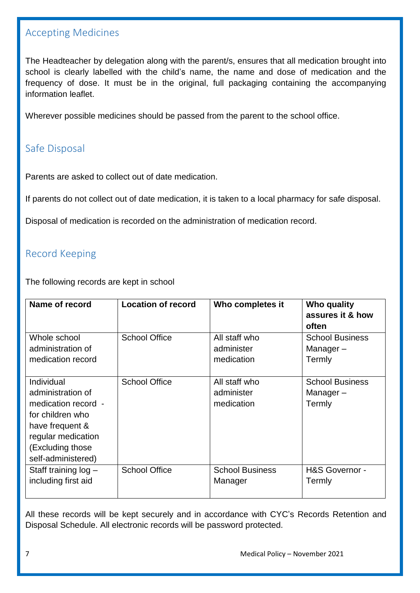#### <span id="page-6-0"></span>Accepting Medicines

The Headteacher by delegation along with the parent/s, ensures that all medication brought into school is clearly labelled with the child's name, the name and dose of medication and the frequency of dose. It must be in the original, full packaging containing the accompanying information leaflet.

Wherever possible medicines should be passed from the parent to the school office.

## <span id="page-6-1"></span>Safe Disposal

Parents are asked to collect out of date medication.

If parents do not collect out of date medication, it is taken to a local pharmacy for safe disposal.

Disposal of medication is recorded on the administration of medication record.

## <span id="page-6-2"></span>Record Keeping

The following records are kept in school

| Name of record                                                                                                                                                | <b>Location of record</b> | Who completes it                          | Who quality<br>assures it & how<br>often     |
|---------------------------------------------------------------------------------------------------------------------------------------------------------------|---------------------------|-------------------------------------------|----------------------------------------------|
| Whole school                                                                                                                                                  | <b>School Office</b>      | All staff who                             | <b>School Business</b>                       |
| administration of                                                                                                                                             |                           | administer                                | Manager-                                     |
| medication record                                                                                                                                             |                           | medication                                | Termly                                       |
| Individual<br>administration of<br>medication record -<br>for children who<br>have frequent &<br>regular medication<br>(Excluding those<br>self-administered) | <b>School Office</b>      | All staff who<br>administer<br>medication | <b>School Business</b><br>Manager-<br>Termly |
| Staff training log -                                                                                                                                          | <b>School Office</b>      | <b>School Business</b>                    | H&S Governor -                               |
| including first aid                                                                                                                                           |                           | Manager                                   | Termly                                       |

All these records will be kept securely and in accordance with CYC's Records Retention and Disposal Schedule. All electronic records will be password protected.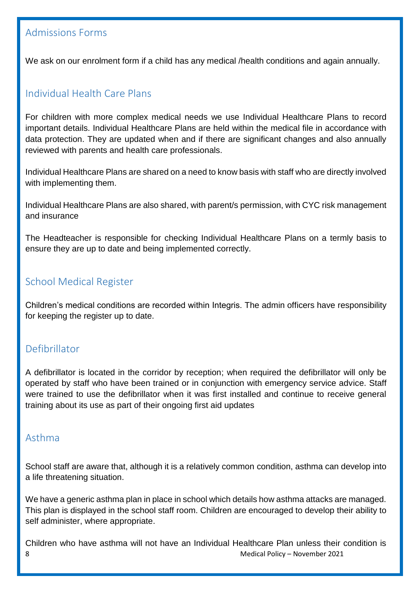## <span id="page-7-0"></span>Admissions Forms

We ask on our enrolment form if a child has any medical */health conditions* and again annually.

## <span id="page-7-1"></span>Individual Health Care Plans

For children with more complex medical needs we use Individual Healthcare Plans to record important details. Individual Healthcare Plans are held within the medical file in accordance with data protection. They are updated when and if there are significant changes and also annually reviewed with parents and health care professionals.

Individual Healthcare Plans are shared on a need to know basis with staff who are directly involved with implementing them.

Individual Healthcare Plans are also shared, with parent/s permission, with CYC risk management and insurance

The Headteacher is responsible for checking Individual Healthcare Plans on a termly basis to ensure they are up to date and being implemented correctly.

#### <span id="page-7-2"></span>School Medical Register

Children's medical conditions are recorded within Integris. The admin officers have responsibility for keeping the register up to date.

#### <span id="page-7-3"></span>Defibrillator

A defibrillator is located in the corridor by reception; when required the defibrillator will only be operated by staff who have been trained or in conjunction with emergency service advice. Staff were trained to use the defibrillator when it was first installed and continue to receive general training about its use as part of their ongoing first aid updates

#### <span id="page-7-4"></span>Asthma

School staff are aware that, although it is a relatively common condition, asthma can develop into a life threatening situation.

We have a generic asthma plan in place in school which details how asthma attacks are managed. This plan is displayed in the school staff room. Children are encouraged to develop their ability to self administer, where appropriate.

8 Medical Policy – November 2021 Children who have asthma will not have an Individual Healthcare Plan unless their condition is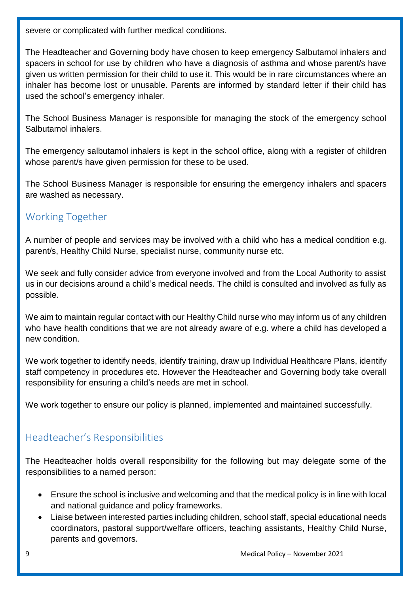severe or complicated with further medical conditions.

The Headteacher and Governing body have chosen to keep emergency Salbutamol inhalers and spacers in school for use by children who have a diagnosis of asthma and whose parent/s have given us written permission for their child to use it. This would be in rare circumstances where an inhaler has become lost or unusable. Parents are informed by standard letter if their child has used the school's emergency inhaler.

The School Business Manager is responsible for managing the stock of the emergency school Salbutamol inhalers.

The emergency salbutamol inhalers is kept in the school office, along with a register of children whose parent/s have given permission for these to be used.

The School Business Manager is responsible for ensuring the emergency inhalers and spacers are washed as necessary.

## <span id="page-8-0"></span>Working Together

A number of people and services may be involved with a child who has a medical condition e.g. parent/s, Healthy Child Nurse, specialist nurse, community nurse etc.

We seek and fully consider advice from everyone involved and from the Local Authority to assist us in our decisions around a child's medical needs. The child is consulted and involved as fully as possible.

We aim to maintain regular contact with our Healthy Child nurse who may inform us of any children who have health conditions that we are not already aware of e.g. where a child has developed a new condition.

We work together to identify needs, identify training, draw up Individual Healthcare Plans, identify staff competency in procedures etc. However the Headteacher and Governing body take overall responsibility for ensuring a child's needs are met in school.

We work together to ensure our policy is planned, implemented and maintained successfully.

# <span id="page-8-1"></span>Headteacher's Responsibilities

The Headteacher holds overall responsibility for the following but may delegate some of the responsibilities to a named person:

- Ensure the school is inclusive and welcoming and that the medical policy is in line with local and national guidance and policy frameworks.
- Liaise between interested parties including children, school staff, special educational needs coordinators, pastoral support/welfare officers, teaching assistants, Healthy Child Nurse, parents and governors.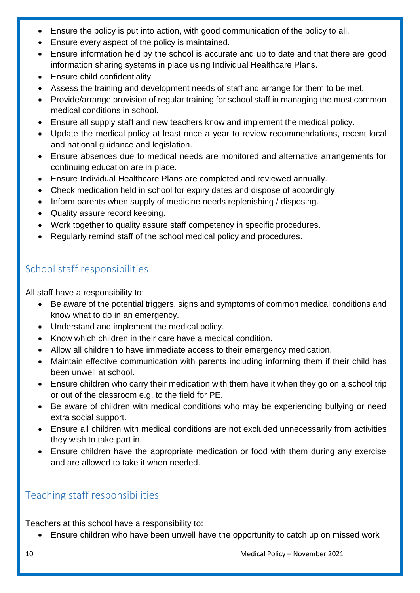- Ensure the policy is put into action, with good communication of the policy to all.
- Ensure every aspect of the policy is maintained.
- Ensure information held by the school is accurate and up to date and that there are good information sharing systems in place using Individual Healthcare Plans.
- Ensure child confidentiality.
- Assess the training and development needs of staff and arrange for them to be met.
- Provide/arrange provision of regular training for school staff in managing the most common medical conditions in school.
- Ensure all supply staff and new teachers know and implement the medical policy.
- Update the medical policy at least once a year to review recommendations, recent local and national guidance and legislation.
- Ensure absences due to medical needs are monitored and alternative arrangements for continuing education are in place.
- Ensure Individual Healthcare Plans are completed and reviewed annually.
- Check medication held in school for expiry dates and dispose of accordingly.
- Inform parents when supply of medicine needs replenishing / disposing.
- Quality assure record keeping.
- Work together to quality assure staff competency in specific procedures.
- Regularly remind staff of the school medical policy and procedures.

# <span id="page-9-0"></span>School staff responsibilities

All staff have a responsibility to:

- Be aware of the potential triggers, signs and symptoms of common medical conditions and know what to do in an emergency.
- Understand and implement the medical policy.
- Know which children in their care have a medical condition.
- Allow all children to have immediate access to their emergency medication.
- Maintain effective communication with parents including informing them if their child has been unwell at school.
- Ensure children who carry their medication with them have it when they go on a school trip or out of the classroom e.g. to the field for PE.
- Be aware of children with medical conditions who may be experiencing bullying or need extra social support.
- Ensure all children with medical conditions are not excluded unnecessarily from activities they wish to take part in.
- Ensure children have the appropriate medication or food with them during any exercise and are allowed to take it when needed.

# <span id="page-9-1"></span>Teaching staff responsibilities

Teachers at this school have a responsibility to:

Ensure children who have been unwell have the opportunity to catch up on missed work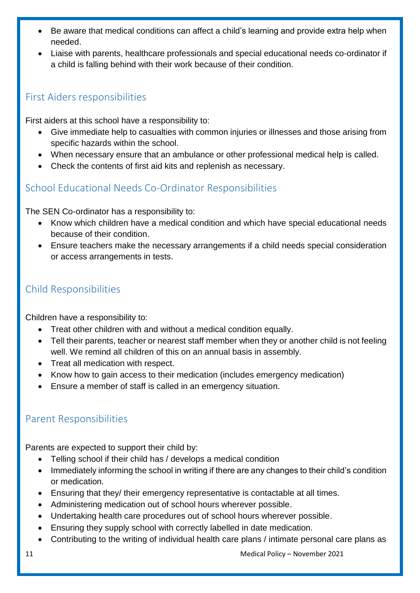- Be aware that medical conditions can affect a child's learning and provide extra help when needed.
- Liaise with parents, healthcare professionals and special educational needs co-ordinator if a child is falling behind with their work because of their condition.

## <span id="page-10-0"></span>First Aiders responsibilities

First aiders at this school have a responsibility to:

- Give immediate help to casualties with common injuries or illnesses and those arising from specific hazards within the school.
- When necessary ensure that an ambulance or other professional medical help is called.
- Check the contents of first aid kits and replenish as necessary.

# <span id="page-10-1"></span>School Educational Needs Co-Ordinator Responsibilities

The SEN Co-ordinator has a responsibility to:

- Know which children have a medical condition and which have special educational needs because of their condition.
- Ensure teachers make the necessary arrangements if a child needs special consideration or access arrangements in tests.

# <span id="page-10-2"></span>Child Responsibilities

Children have a responsibility to:

- Treat other children with and without a medical condition equally.
- Tell their parents, teacher or nearest staff member when they or another child is not feeling well. We remind all children of this on an annual basis in assembly.
- Treat all medication with respect.
- Know how to gain access to their medication (includes emergency medication)
- Ensure a member of staff is called in an emergency situation.

# <span id="page-10-3"></span>Parent Responsibilities

Parents are expected to support their child by:

- Telling school if their child has / develops a medical condition
- Immediately informing the school in writing if there are any changes to their child's condition or medication.
- Ensuring that they/ their emergency representative is contactable at all times.
- Administering medication out of school hours wherever possible.
- Undertaking health care procedures out of school hours wherever possible.
- Ensuring they supply school with correctly labelled in date medication.
- Contributing to the writing of individual health care plans / intimate personal care plans as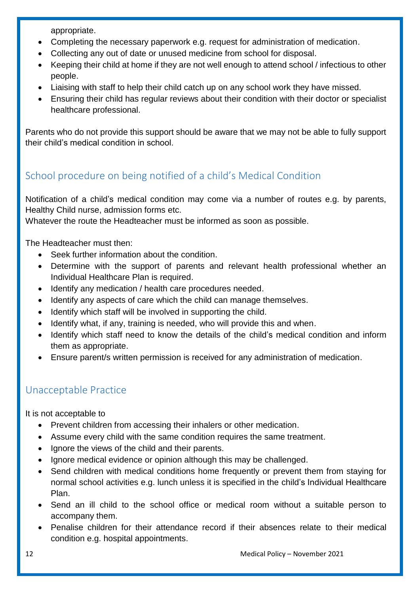appropriate.

- Completing the necessary paperwork e.g. request for administration of medication.
- Collecting any out of date or unused medicine from school for disposal.
- Keeping their child at home if they are not well enough to attend school / infectious to other people.
- Liaising with staff to help their child catch up on any school work they have missed.
- Ensuring their child has regular reviews about their condition with their doctor or specialist healthcare professional.

Parents who do not provide this support should be aware that we may not be able to fully support their child's medical condition in school.

# <span id="page-11-0"></span>School procedure on being notified of a child's Medical Condition

Notification of a child's medical condition may come via a number of routes e.g. by parents, Healthy Child nurse, admission forms etc.

Whatever the route the Headteacher must be informed as soon as possible.

The Headteacher must then:

- Seek further information about the condition.
- Determine with the support of parents and relevant health professional whether an Individual Healthcare Plan is required.
- Identify any medication / health care procedures needed.
- Identify any aspects of care which the child can manage themselves.
- Identify which staff will be involved in supporting the child.
- Identify what, if any, training is needed, who will provide this and when.
- Identify which staff need to know the details of the child's medical condition and inform them as appropriate.
- Ensure parent/s written permission is received for any administration of medication.

# <span id="page-11-1"></span>Unacceptable Practice

It is not acceptable to

- Prevent children from accessing their inhalers or other medication.
- Assume every child with the same condition requires the same treatment.
- Ignore the views of the child and their parents.
- Ignore medical evidence or opinion although this may be challenged.
- Send children with medical conditions home frequently or prevent them from staying for normal school activities e.g. lunch unless it is specified in the child's Individual Healthcare Plan.
- Send an ill child to the school office or medical room without a suitable person to accompany them.
- Penalise children for their attendance record if their absences relate to their medical condition e.g. hospital appointments.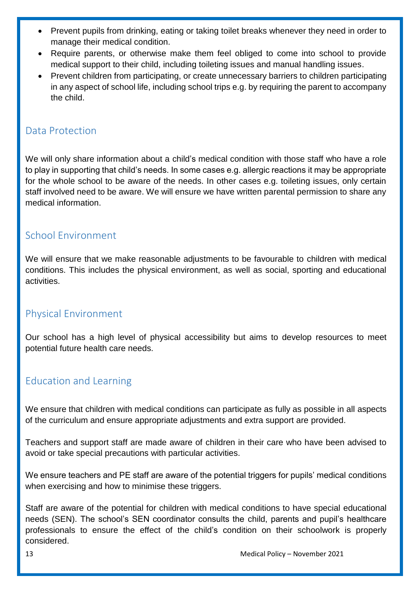- Prevent pupils from drinking, eating or taking toilet breaks whenever they need in order to manage their medical condition.
- Require parents, or otherwise make them feel obliged to come into school to provide medical support to their child, including toileting issues and manual handling issues.
- Prevent children from participating, or create unnecessary barriers to children participating in any aspect of school life, including school trips e.g. by requiring the parent to accompany the child.

## <span id="page-12-0"></span>Data Protection

We will only share information about a child's medical condition with those staff who have a role to play in supporting that child's needs. In some cases e.g. allergic reactions it may be appropriate for the whole school to be aware of the needs. In other cases e.g. toileting issues, only certain staff involved need to be aware. We will ensure we have written parental permission to share any medical information.

## <span id="page-12-1"></span>School Environment

We will ensure that we make reasonable adjustments to be favourable to children with medical conditions. This includes the physical environment, as well as social, sporting and educational activities.

## <span id="page-12-2"></span>Physical Environment

Our school has a high level of physical accessibility but aims to develop resources to meet potential future health care needs.

#### <span id="page-12-3"></span>Education and Learning

We ensure that children with medical conditions can participate as fully as possible in all aspects of the curriculum and ensure appropriate adjustments and extra support are provided.

Teachers and support staff are made aware of children in their care who have been advised to avoid or take special precautions with particular activities.

We ensure teachers and PE staff are aware of the potential triggers for pupils' medical conditions when exercising and how to minimise these triggers.

Staff are aware of the potential for children with medical conditions to have special educational needs (SEN). The school's SEN coordinator consults the child, parents and pupil's healthcare professionals to ensure the effect of the child's condition on their schoolwork is properly considered.